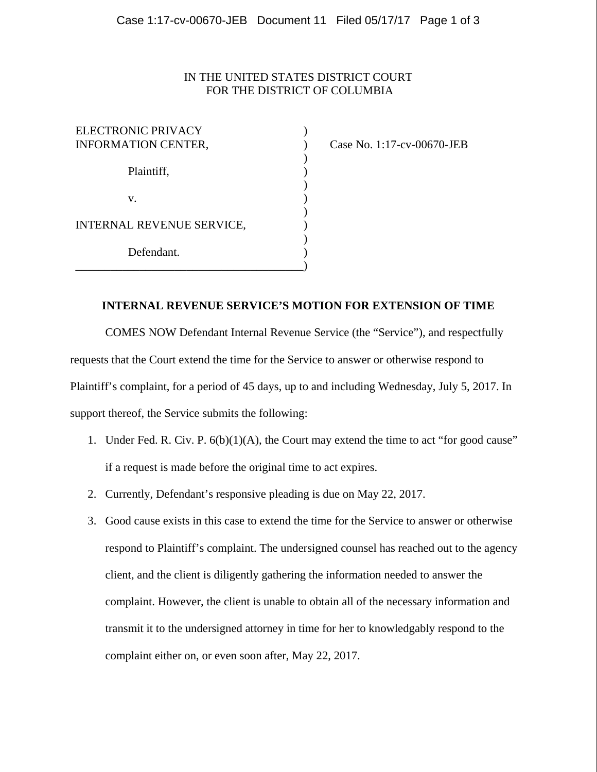## IN THE UNITED STATES DISTRICT COURT FOR THE DISTRICT OF COLUMBIA

| ELECTRONIC PRIVACY<br><b>INFORMATION CENTER,</b> |  |
|--------------------------------------------------|--|
| Plaintiff,                                       |  |
| V.                                               |  |
| INTERNAL REVENUE SERVICE,                        |  |
| Defendant.                                       |  |

Case No. 1:17-cv-00670-JEB

## **INTERNAL REVENUE SERVICE'S MOTION FOR EXTENSION OF TIME**

COMES NOW Defendant Internal Revenue Service (the "Service"), and respectfully requests that the Court extend the time for the Service to answer or otherwise respond to Plaintiff's complaint, for a period of 45 days, up to and including Wednesday, July 5, 2017. In support thereof, the Service submits the following:

- 1. Under Fed. R. Civ. P. 6(b)(1)(A), the Court may extend the time to act "for good cause" if a request is made before the original time to act expires.
- 2. Currently, Defendant's responsive pleading is due on May 22, 2017.
- 3. Good cause exists in this case to extend the time for the Service to answer or otherwise respond to Plaintiff's complaint. The undersigned counsel has reached out to the agency client, and the client is diligently gathering the information needed to answer the complaint. However, the client is unable to obtain all of the necessary information and transmit it to the undersigned attorney in time for her to knowledgably respond to the complaint either on, or even soon after, May 22, 2017.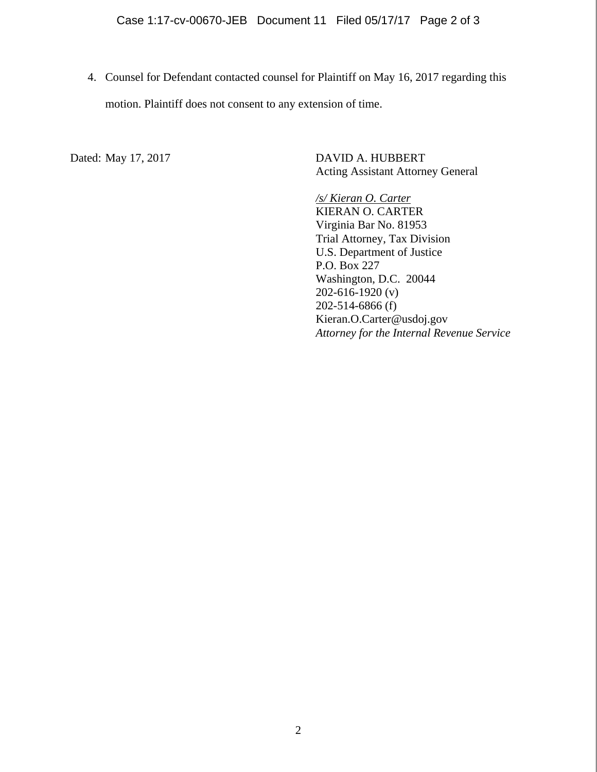4. Counsel for Defendant contacted counsel for Plaintiff on May 16, 2017 regarding this motion. Plaintiff does not consent to any extension of time.

Dated: May 17, 2017 DAVID A. HUBBERT Acting Assistant Attorney General

> */s/ Kieran O. Carter*  KIERAN O. CARTER Virginia Bar No. 81953 Trial Attorney, Tax Division U.S. Department of Justice P.O. Box 227 Washington, D.C. 20044 202-616-1920 (v) 202-514-6866 (f) Kieran.O.Carter@usdoj.gov *Attorney for the Internal Revenue Service*